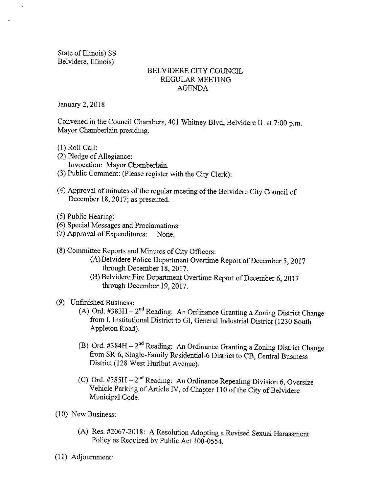State of Illinois) SS Belvidere, Illinois)

 $\ddot{\phantom{a}}$ 

# BELVIDERE CITY COUNCIL REGULAR MEETING AGENDA

January 2, 2018

Convened in the Council Chambers, 401 Whitney Blvd, Belvidere IL at 7:00 p.m. Mayor Chamberlain presiding.

- 1) Roll Call:
- 2) Pledge of Allegiance: Invocation: Mayor Chamberlain.
- 3) Public Comment: ( Please register with the City Clerk):
- 4) Approval of minutes of the regular meeting of the Belvidere City Council of December 18, 2017; as presented.
- 5) Public Hearing:
- 6) Special Messages and Proclamations:
- 7) Approval of Expenditures: None.
- 8) Committee Reports and Minutes of City Officers:
	- A) Belvidere Police Department Overtime Report of December 5, 2017 through December 18, 2017.
	- B) Belvidere Fire Department Overtime Report of December 6, 2017 through December 19, 2017.

# 9) Unfinished Business:

- (A) Ord.  $\#383H 2^{nd}$  Reading: An Ordinance Granting a Zoning District Change from I, Institutional District to GI, General Industrial District ( 1230 South Appleton Road).
- B) Ord.  $\#384H 2^{nd}$  Reading: An Ordinance Granting a Zoning District Change from SR-6, Single-Family Residential-6 District to CB, Central Business District ( 128 West Hurlbut Avenue).
- C) Ord.  $\#385H 2^{nd}$  Reading: An Ordinance Repealing Division 6, Oversize Vehicle Parking of Article IV, of Chapter 110 of the City of Belvidere Municipal Code.
- 10) New Business:
	- (A) Res. #2067-2018: A Resolution Adopting a Revised Sexual Harassment Policy as Required by Public Act 100-0554.
- I1) Adjournment: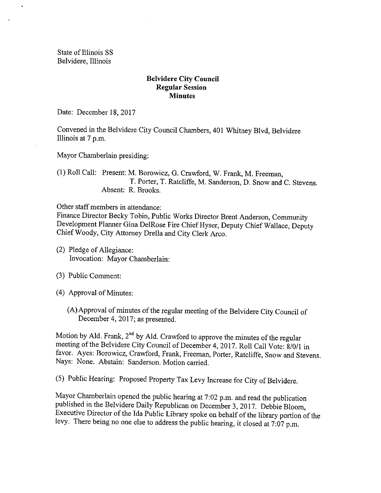State of Illinois SS Belvidere, Illinois

# Belvidere City Council Regular Session **Minutes**

Date: December 18, 2017

Convened in the Belvidere City Council Chambers, 401 Whitney Blvd, Belvidere Illinois at 7 p.m.

Mayor Chamberlain presiding:

1) Roll Call: Present: M. Borowicz, G. Crawford, W. Frank, M. Freeman, T. Porter, T. Ratcliffe, M. Sanderson, D. Snow and C. Stevens. Absent: R. Brooks.

Other staff members in attendance:

Finance Director Becky Tobin, Public Works Director Brent Anderson, Community Development Planner Gina DelRose Fire Chief Hyser, Deputy Chief Wallace, Deputy Chief Woody, City Attorney Drella and City Clerk Arco.

- 2) Pledge of Allegiance: Invocation: Mayor Chamberlain:
- 3) Public Comment:
- 4) Approval of Minutes:
	- A) Approval of minutes of the regular meeting of the Belvidere City Council of December 4, 2017; as presented.

Motion by Ald. Frank,  $2^{nd}$  by Ald. Crawford to approve the minutes of the regular meeting of the Belvidere City Council of December 4, 2017. Roll Call Vote: 8/0/1 in favor. Ayes: Borowicz, Crawford, Frank, Freeman, Porter, Ratcliffe, Snow and Stevens. Nays: None. Abstain: Sanderson. Motion carried.

5) Public Hearing: Proposed Property Tax Levy Increase for City of Belvidere.

Mayor Chamberlain opened the public hearing at 7:02 p.m. and read the publication published in the Belvidere Daily Republican on December 3, 2017. Debbie Bloom, Executive Director of the Ida Public Library spoke on behalf of the library portion of the levy. There being no one else to address the public hearing, it closed at 7:07 p.m.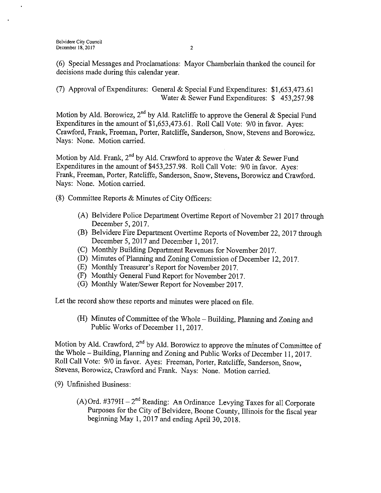6) Special Messages and Proclamations: Mayor Chamberlain thanked the council for decisions made during this calendar year.

(7) Approval of Expenditures: General & Special Fund Expenditures: \$1,653,473.61 Water & Sewer Fund Expenditures: \$453,257.98

Motion by Ald. Borowicz, 2<sup>nd</sup> by Ald. Ratcliffe to approve the General & Special Fund Expenditures in the amount of \$1,653,473.61. Roll Call Vote: 9/0 in favor. Ayes: Crawford, Frank, Freeman, Porter, Ratcliffe, Sanderson, Snow, Stevens and Borowicz. Nays: None. Motion carried.

Motion by Ald. Frank, 2<sup>nd</sup> by Ald. Crawford to approve the Water & Sewer Fund Expenditures in the amount of \$453, 257. 98. Roll Call Vote: 9/0 in favor. Ayes: Frank, Freeman, Porter, Ratcliffe, Sanderson, Snow, Stevens, Borowicz and Crawford. Nays: None. Motion carried.

- 8) Committee Reports & Minutes of City Officers:
	- A) Belvidere Police Department Overtime Report of November 212017 through December 5, 2017.
	- B) Belvidere Fire Department Overtime Reports of November 22, 2017 through December 5, 2017 and December 1, 2017.
	- C) Monthly Building Department Revenues for November 2017.
	- D) Minutes of Planning and Zoning Commission of December 12, 2017.
	- E) Monthly Treasurer' <sup>s</sup> Report for November 2017.
	- F) Monthly General Fund Report for November 2017.
	- (G) Monthly Water/Sewer Report for November 2017.

Let the record show these reports and minutes were placed on file.

H) Minutes of Committee of the Whole— Building, Planning and Zoning and Public Works of December 11, 2017.

Motion by Ald. Crawford,  $2^{nd}$  by Ald. Borowicz to approve the minutes of Committee of the Whole— Building, Planning and Zoning and Public Works of December 11, 2017. Roll Call Vote: 9/0 in favor. Ayes: Freeman, Porter, Ratcliffe, Sanderson, Snow, Stevens, Borowicz, Crawford and Frank. Nays: None. Motion carried.

- 9) Unfinished Business:
	- A) Ord. #379 $H 2<sup>nd</sup>$  Reading: An Ordinance Levying Taxes for all Corporate Purposes for the City of Belvidere, Boone County, Illinois for the fiscal year beginning May 1, 2017 and ending April 30, 2018.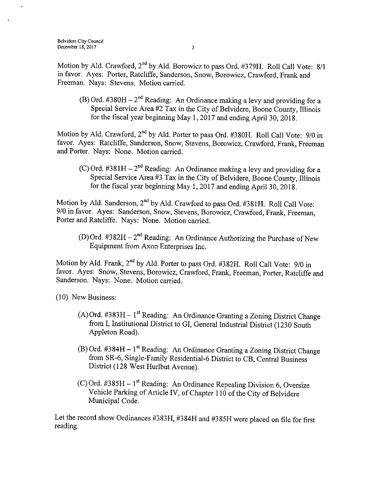Motion by Ald. Crawford, 2<sup>nd</sup> by Ald. Borowicz to pass Ord. #379H. Roll Call Vote: 8/1 in favor. Ayes: Porter, Ratcliffe, Sanderson, Snow, Borowicz, Crawford, Frank and Freeman. Nays: Stevens. Motion carried.

B) Ord.  $\#380H - 2^{nd}$  Reading: An Ordinance making a levy and providing for a Special Service Area 42 Tax in the City of Belvidere, Boone County, Illinois for the fiscal year beginning May 1, 2017 and ending April 30, 2018.

Motion by Ald. Crawford, 2<sup>nd</sup> by Ald. Porter to pass Ord. #380H. Roll Call Vote: 9/0 in favor. Ayes: Ratcliffe, Sanderson, Snow, Stevens, Borowicz, Crawford, Frank, Freeman and Porter. Nays: None. Motion carried.

C) Ord.  $\#381H - 2^{nd}$  Reading: An Ordinance making a levy and providing for a Special Service Area #3 Tax in the City of Belvidere, Boone County, Illinois for the fiscal year beginning May 1, 2017 and ending April 30, 2018.

Motion by Ald. Sanderson, 2<sup>nd</sup> by Ald. Crawford to pass Ord. #381H. Roll Call Vote 9/0 in favor. Ayes: Sanderson, Snow, Stevens, Borowicz, Crawford, Frank, Freeman, Porter and Ratcliffe. Nays: None. Motion carried.

(D) Ord. #382H  $-2^{nd}$  Reading: An Ordinance Authorizing the Purchase of New Equipment from Axon Enterprises Inc.

Motion by Ald. Frank, 2<sup>nd</sup> by Ald. Porter to pass Ord. #382H. Roll Call Vote: 9/0 in favor. Ayes: Snow, Stevens, Borowicz, Crawford, Frank, Freeman, Porter, Ratcliffe and Sanderson. Nays: None. Motion carried.

10) New Business:

- A) Ord.  $\#383H 1$ <sup>st</sup> Reading: An Ordinance Granting a Zoning District Change from I, Institutional District to GI, General Industrial District ( 1230 South Appleton Road).
- $(B)$  Ord. #384H 1<sup>st</sup> Reading: An Ordinance Granting a Zoning District Change from SR-6, Single-Family Residential-6 District to CB, Central Business District (128 West Hurlbut Avenue).
- C) Ord.  $\#385H 1^{\text{st}}$  Reading: An Ordinance Repealing Division 6, Oversize Vehicle Parking of Article IV, of Chapter 110 of the City of Belvidere Municipal Code.

Let the record show Ordinances #383H, #384H and #385H were placed on file for first reading.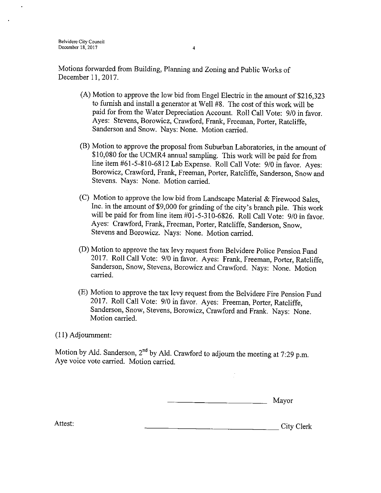- $(A)$  Motion to approve the low bid from Engel Electric in the amount of \$216,323 to furnish and install a generator at Well #8. The cost of this work will be paid for from the Water Depreciation Account. Roll Call Vote: 9/0 in favor. Ayes: Stevens, Borowicz, Crawford, Frank, Freeman, Porter, Ratcliffe, Sanderson and Snow. Nays: None. Motion carried.
- B) Motion to approve the proposal from Suburban Laboratories, in the amount of 10, 080 for the UCMR4 annual sampling. This work will be paid for from line item # 61- 5- 810- 6812 Lab Expense. Roll Call Vote: 9/0 in favor. Ayes: Borowicz, Crawford, Frank, Freeman, Porter, Ratcliffe, Sanderson, Snow and Stevens. Nays: None. Motion carried.
- C) Motion to approve the low bid from Landscape Material & Firewood Sales, Inc. in the amount of \$9,000 for grinding of the city's branch pile. This work will be paid for from line item #01-5-310-6826. Roll Call Vote: 9/0 in favor. Ayes: Crawford, Frank, Freeman, Porter, Ratcliffe, Sanderson, Snow, Stevens and Borowicz. Nays: None. Motion carried.
- D) Motion to approve the tax levy request from Belvidere Police Pension Fund 2017. Roll Call Vote: 9/0 in favor. Ayes: Frank, Freeman, Porter, Ratcliffe, Sanderson, Snow, Stevens, Borowicz and Crawford. Nays: None. Motion carried.
- E) Motion to approve the tax levy request from the Belvidere Fire Pension Fund 2017. Roll Call Vote: 9/0 in favor. Ayes: Freeman, Porter, Ratcliffe, Sanderson, Snow, Stevens, Borowicz, Crawford and Frank. Nays: None. Motion carried.

11) Adjournment:

Motion by Ald. Sanderson,  $2^{nd}$  by Ald. Crawford to adjourn the meeting at 7:29 p.m. Aye voice vote carried. Motion carried.

Mayor

Attest: City Clerk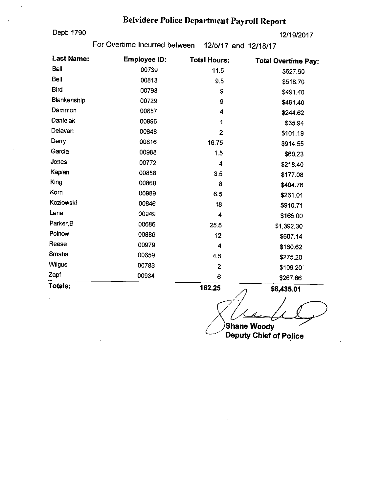# Belvidere Police Department Payroll Report

Dept: 1790 12/ 19/2017

For Overtime Incurred between 12/5/17 and 12/18/17

| <b>Last Name:</b> | Employee ID: | <b>Total Hours:</b> | <b>Total Overtime Pay:</b> |
|-------------------|--------------|---------------------|----------------------------|
| <b>Ball</b>       | 00739        | 11.5                | \$627.90                   |
| <b>Bell</b>       | 00813        | 9.5                 | \$518.70                   |
| <b>Bird</b>       | 00793        | 9                   | \$491.40                   |
| Blankenship       | 00729        | 9                   | \$491.40                   |
| Dammon            | 00657        | 4                   | \$244.62                   |
| <b>Danielak</b>   | 00996        | 1                   | \$35.94                    |
| Delavan           | 00848        | $\overline{2}$      | \$101.19                   |
| Derry             | 00816        | 16.75               | \$914.55                   |
| Garcia            | 00988        | 1.5                 | \$60.23                    |
| Jones             | 00772        | 4                   | \$218.40                   |
| Kaplan            | 00858        | 3.5                 | \$177.08                   |
| King              | 00868        | 8                   | \$404.76                   |
| Korn              | 00989        | 6.5                 | \$261.01                   |
| <b>Koziowski</b>  | 00846        | 18                  | \$910.71                   |
| Lane              | 00949        | 4                   | \$165.00                   |
| Parker, B         | 00686        | 25.5                | \$1,392.30                 |
| Poinow            | 00886        | 12                  | \$607.14                   |
| Reese             | 00979        | $\overline{4}$      | \$160.62                   |
| Smaha             | 00659        | 4.5                 | \$275.20                   |
| <b>Wilgus</b>     | 00783        | $\overline{2}$      | \$109.20                   |
| Zapf              | 00934        | 6                   | \$267.66                   |
| Totals:           |              | 162.25              | \$8,435.01<br>╱            |

7

Shane Woody Deputy Chief of Police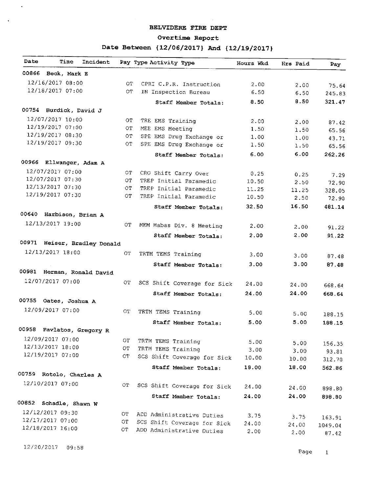#### BELVIDERE FIRE DEPT

#### Overtime Report

# Date Between {12/06/2017} And {12/19/2017}

| Date  | Time                       | Incident                     | Pay Type Activity Type      | Hours Wkd | Hrs Paid | Pay             |
|-------|----------------------------|------------------------------|-----------------------------|-----------|----------|-----------------|
| 00866 | Beck, Mark E               |                              |                             |           |          |                 |
|       | 12/16/2017 08:00           | ОT                           | CPRI C.P.R. Instruction     | 2.00      | 2.00     | 75.64           |
|       | 12/18/2017 07:00           | OT.                          | IN Inspection Bureau        | 6.50      | 6.50     | 245.83          |
|       |                            |                              | Staff Member Totals:        | 8.50      | 8.50     | 321.47          |
| 00754 | Burdick, David J           |                              |                             |           |          |                 |
|       | 12/07/2017 10:00           | OТ                           | TRE EMS Training            | 2.00      | 2.00     | 87.42           |
|       | 12/19/2017 07:00           | ΟT                           | MEE EMS Meeting             | 1.50      | 1.50     | 65.56           |
|       | 12/19/2017 08:30           | OТ                           | SPE EMS Drug Exchange or    | 1.00      | 1,00     | 43.71           |
|       | 12/19/2017 09:30           | ОT                           | SPE EMS Drug Exchange or    | 1.50      | 1.50     | 65.56           |
|       |                            |                              | Staff Member Totals:        | 6.00      | 6.00     | 262.26          |
|       | 00966 Ellwanger, Adam A    |                              |                             |           |          |                 |
|       | 12/07/2017 07:00           | OТ                           | CRO Shift Carry Over        | 0.25      | 0.25     | 7.29            |
|       | 12/07/2017 07:30           | ОT                           | TREP Initial Paramedic      | 10.50     | 2.50     | 72.90           |
|       | 12/13/2017 07:30           | ОT                           | TREP Initial Paramedic      | 11.25     | 11.25    | 328.05          |
|       | 12/19/2017 07:30           | OT.                          | TREP Initial Paramedic      | 10.50     | 2.50     | 72.90           |
|       |                            |                              | Staff Member Totals:        | 32.50     | 16.50    | 481.14          |
|       | 00640 Harbison, Brian A    |                              |                             |           |          |                 |
|       | 12/13/2017 19:00           | OT.                          | MEM Mabas Div. 8 Meeting    | 2.00      | 2.00     | 91.22           |
|       |                            |                              | Staff Member Totals:        | 2.00      | 2.00     | 91.22           |
|       |                            | 00971 Heiser, Bradley Donald |                             |           |          |                 |
|       | 12/13/2017 18:00           | OТ                           | TRTM TEMS Training          | 3.00      | 3.00     | 87.48           |
|       |                            |                              | Staff Member Totals:        | 3.00      | 3.00     | 87.48           |
|       | 00981 Herman, Ronald David |                              |                             |           |          |                 |
|       | 12/07/2017 07:00           | OT                           |                             |           |          |                 |
|       |                            |                              | SCS Shift Coverage for Sick | 24.00     | 24.00    | 668.64          |
|       |                            |                              | Staff Member Totals:        | 24.00     | 24.00    | 668.64          |
|       | 00755 Oates, Joshua A      |                              |                             |           |          |                 |
|       | 12/09/2017 07:00           | ОT                           | TRTM TEMS Training          | 5.00      | 5.00     | 188.15          |
|       |                            |                              | Staff Member Totals:        | 5.00      | 5.00     | 188.15          |
| 00958 | Pavlatos, Gregory R        |                              |                             |           |          |                 |
|       | 12/09/2017 07:00           | ОT                           | TRTM TEMS Training          | 5.00      | 5.00     |                 |
|       | 12/13/2017 18:00           | ОT                           | TRTM TEMS Training          | 3.00      | 3.00     | 156.35          |
|       | 12/19/2017 07:00           | ОT                           | SCS Shift Coverage for Sick | 10.00     | 10.00    | 93.81<br>312.70 |
|       |                            |                              | Staff Member Totals:        | 18.00     | 18.00    | 562.86          |
|       | 00759 Rotolo, Charles A    |                              |                             |           |          |                 |
|       | 12/10/2017 07:00           | OТ                           | SCS Shift Coverage for Sick |           |          |                 |
|       |                            |                              |                             | 24.00     | 24.00    | 898.80          |
| 00852 | Schadle, Shawn W           |                              | Staff Member Totals:        | 24.00     | 24.00    | 898.80          |
|       | 12/12/2017 09:30           |                              |                             |           |          |                 |
|       | 12/17/2017 07:00           | OТ                           | ADD Administrative Duties   | 3.75      | 3.75     | 163.91          |
|       | 12/18/2017 16:00           | $\overline{C}$               | SCS Shift Coverage for Sick | 24.00     | 24.00    | 1049.04         |
|       |                            | OТ                           | ADD Administrative Duties   | 2.00      | 2.00     | 87.42           |

12/ 20/ 2017 09: 58

 $\sim$ 

 $\langle \cdot \rangle$ 

Page I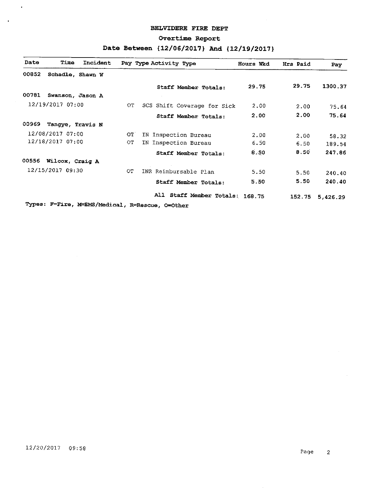## BELVIDERE FIRE DEPT

#### Overtime Report

# Date Between {12/06/2017} And {12/19/2017}

| Date             | Time                  | Incident |     | Pay Type Activity Type                          | Hours Wkd | Hrs Paid | Pay      |
|------------------|-----------------------|----------|-----|-------------------------------------------------|-----------|----------|----------|
| 00852            | Schadle, Shawn W      |          |     |                                                 |           |          |          |
|                  |                       |          |     | Staff Member Totals:                            | 29.75     | 29.75    | 1300.37  |
| 00781            | Swanson, Jason A      |          |     |                                                 |           |          |          |
|                  | 12/19/2017 07:00      |          | ОT  | SCS Shift Coverage for Sick                     | 2.00      | 2.00     | 75.64    |
|                  |                       |          |     | Staff Member Totals:                            | 2.00      | 2.00     | 75.64    |
| 00969            | Tangye, Travis N      |          |     |                                                 |           |          |          |
|                  | 12/08/2017 07:00      |          | OT. | IN Inspection Bureau                            | 2,00      | 2.00     | 58.32    |
|                  | 12/18/2017 07:00      |          | OT. | IN Inspection Bureau                            | 6.50      | 6.50     | 189.54   |
|                  |                       |          |     | Staff Member Totals:                            | 8.50      | 8.50     | 247.86   |
|                  | 00556 Wilcox, Craig A |          |     |                                                 |           |          |          |
| 12/15/2017 09:30 |                       |          | ОT  | INR Reimbursable Plan                           | 5.50      | 5.50     | 240.40   |
|                  |                       |          |     | Staff Member Totals:                            | 5.50      | 5.50     | 240.40   |
|                  |                       |          |     | All Staff Member Totals: 168.75                 |           | 152.75   | 5,426.29 |
|                  |                       |          |     | Types: F=Fire, M=EMS/Medical, R=Rescue, O=Other |           |          |          |

 $\mathcal{A}$ 

 $\bar{\mathbf{r}}$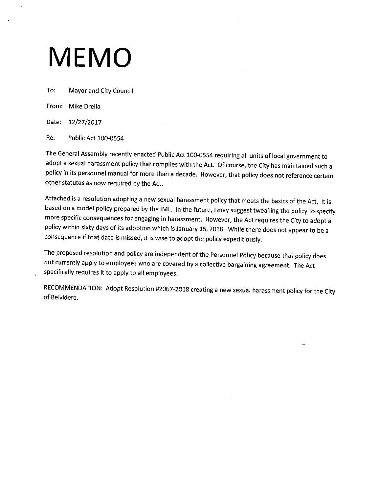# MEMO

To: Mayor and City Council

From: Mike Drella

Date: 12/27/2017

Re: Public Act 100-0554

The General Assembly recently enacted Public Act 100-0554 requiring all units of local government to adopt <sup>a</sup> sexual harassment policy that complies with the Act. Of course, the City has maintained such <sup>a</sup> policy in its personnel manual for more than a decade. However, that policy does not reference certain other statutes as now required by the Act.

Attached is <sup>a</sup> resolution adopting <sup>a</sup> new sexual harassment policy that meets the basics of the Act. It is based on <sup>a</sup> model policy prepared by the IML. In the future, I may suggest tweaking the policy to specify more specific consequences for engaging in harassment. However, the Act requires the City to adopt <sup>a</sup> policy within sixty days of its adoption which is January 15, 2018. While there does not appear to be <sup>a</sup> consequence if that date is missed, it is wise to adopt the policy expeditiously.

The proposed resolution and policy are independent of the Personnel Policy because that policy does not currently apply to employees who are covered by <sup>a</sup> collective bargaining agreement. The Act specifically requires it to apply to all employees.

RECOMMENDATION: Adopt Resolution #2067-2018 creating a new sexual harassment policy for the City of Belvidere.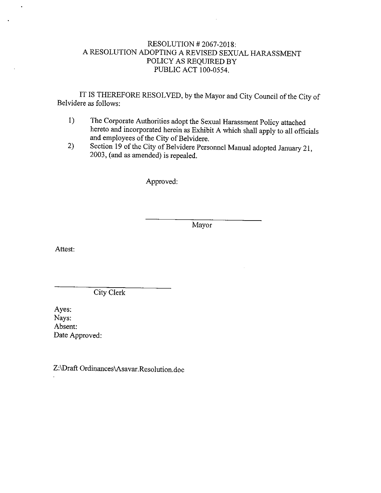# RESOLUTION# 2067-2018: A RESOLUTION ADOPTING A REVISED SEXUAL HARASSMENT POLICY AS REQUIRED BY PUBLIC ACT 100-0554.

IT IS THEREFORE RESOLVED, by the Mayor and City Council of the City of Belvidere as follows:

- 1) The Corporate Authorities adopt the Sexual Harassment Policy attached hereto and incorporated herein as Exhibit A which shall apply to all officials and employees of the City of Belvidere.
- 2) Section <sup>19</sup> of the City of Belvidere Personnel Manual adopted January 21, 2003, ( and as amended) is repealed.

Approved:

Mayor

Attest:

City Clerk

Ayes: Nays: Absent: Date Approved:

Z:\ Draft Ordinances\ Asavar. Resolution.doc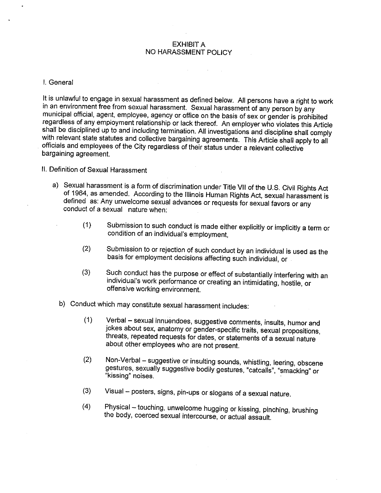### EXHIBIT A NO HARASSMENT POLICY

 $\mathcal{L}(\mathcal{A})$  and  $\mathcal{L}(\mathcal{A})$  are  $\mathcal{L}(\mathcal{A})$  . Then

#### I. General

It is unlawful to engage in sexual harassment as defined below. All persons have a right to work<br>in an environment free from sexual harassment. Sexual harassment of any person by any in an environment free from sexual harassment. Sexual harassment of any person by any municipal official, agent, employee, agency or office on the basis of sex or gender is prohibited regardless of any employment relationship or lack thereof. An employer who violates this Article<br>shall be disciplined up to and including termination. All investigations and discipline shall comply with relevant state statutes and collective bargaining agreements. This Article shall apply to all with relevant state statutes and collective bargaining agreements. This Article shall apply to all<br>officials and apply to a state City research as still in the state of the state of the state of a state of the officials and employees of the City regardless of their status under a relevant collective bargaining agreement.

## II. Definition of Sexual Harassment

- a) Sexual harassment is a form of discrimination under Title VII of the U. S. Civil Rights Act of 1964, as amended. According to the Illinois Human Rights Act, sexual harassment is defined as: Any unwelcome sexual advances or requests for sexual favors or any conduct of a sexual nature when:
	- 1) Submission to such conduct is made either explicitly or implicitly <sup>a</sup> term or condition of an individual's employment,
	- 2) Submission to or rejection of such conduct by an individual is used as the basis for employment decisions affecting such individual, or
	- 3) Such conduct has the purpose or effect of substantially interfering with an individual's work performance or creating an intimidating, hostile, or offensive working environment.
	- b) Conduct which may constitute sexual harassment includes:
		- 1) Verbal —sexual innuendoes, suggestive comments, insults, humor and jokes about sex, anatomy or gender-specific traits, sexual propositions, threats, repeated requests for dates, or statements of a sexual nature about other employees who are not present.
		- 2) Non- Verbal suggestive or insulting sounds, whistling, leering, obscene gestures, sexually suggestive bodily gestures, " catcalls", " smacking" or kissing" noises.
		- 3) Visual posters, signs, pin- ups or slogans of <sup>a</sup> sexual nature.
		- 4) Physical— touching, unwelcome hugging or kissing, pinching, brushing the body, coerced sexual intercourse, or actual assault.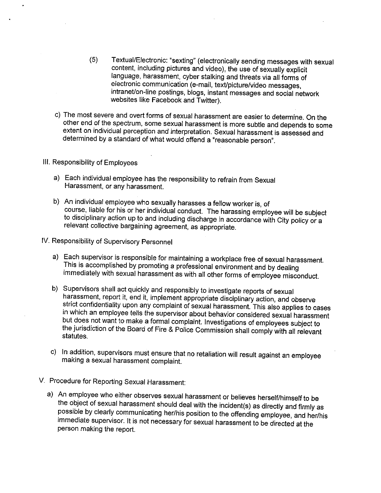- 5) Textual/ Electronic: " sexting" ( electronically sending messages with sexual content, including pictures and video), the use of sexually explicit language, harassment, cyber stalking and threats via all forms of electronic communication (e-mail, text/picture/video messages, intranet/on-line postings, blogs, instant messages and social network websites like Facebook and Twitter).
- c) The most severe and overt forms of sexual harassment are easier to determine. On the other end of the spectrum, some sexual harassment is more subtle and depends to some extent on individual perception and interpretation. Sexual harassment is assessed and determined by a standard of what would offend a 'reasonable person".

#### III. Responsibility of Employees

- a) Each individual employee has the responsibility to refrain from Sexual Harassment, or any harassment.
- b) An individual employee who sexually harasses a fellow worker is, of course, liable for his or her individual conduct. The harassing employee will be subject to disciplinary action up to and including discharge in accordance with City policy or a relevant collective bargaining agreement, as appropriate.
- IV. Responsibility of Supervisory Personnel
	- a) Each supervisor is responsible for maintaining a workplace free of sexual harassment. This is accomplished by promoting a professional environment and by dealing immediately with sexual harassment as with all other forms of employee misconduct.
	- b) Supervisors shall act quickly and responsibly to investigate reports of sexual harassment, report it, end it, implement appropriate disciplinary action, and observe strict confidentiality upon any complaint of sexual harassment. This also applies to cases in which an employee tells the supervisor about behavior considered sexual harassment but does not want to make a formal complaint. Investigations of employees subject to the jurisdiction of the Board of Fire & Police Commission shall comply with all relevant statutes.
	- c) In addition, supervisors must ensure that no retaliation will result against an employee making a sexual harassment complaint.
- V. Procedure for Reporting Sexual Harassment:
	- a) An employee who either observes sexual harassment or believes herself/himself to be<br>the object of sexual harassment should deal with the incident(s) as directly and firmly as  $t_{\text{total}}$  is  $t_{\text{total}}$  of sexual harassment should deal with the incident(s) as directly and firmly as possible by clearly communicating her/his position to the offending employee, and her/his immediate supervisor. It is not necessary for sexual harassment to be directed at the person making the report.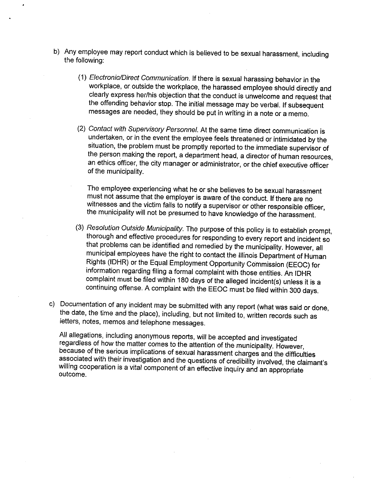- b) Any employee may report conduct which is believed to be sexual harassment, including the following:
	- 1) Electronic/Direct Communication. If there is sexual harassing behavior in the workplace, or outside the workplace, the harassed employee should directly and clearly express her/his objection that the conduct is unwelcome and request that the offending behavior stop. The initial message may be verbal. If subsequent messages are needed, they should be put in writing in a note or a memo.
	- 2) Contact with Supervisory Personnel. At the same time direct communication is undertaken, or in the event the employee feels threatened or intimidated by the situation, the problem must be promptly reported to the immediate supervisor of the person making the report, a department head, a director of human resources, an ethics officer, the city manager or administrator, or the chief executive officer of the municipality.

The employee experiencing what he or she believes to be sexual harassment must not assume that the employer is aware of the conduct. If there are no witnesses and the victim fails to notify a supervisor or other responsible officer, the municipality will not be presumed to have knowledge of the harassment.

- 3) Resolution Outside Municipality. The purpose of this policy is to establish prompt, thorough and effective procedures for responding to every report and incident so that problems can be identified and remedied by the municipality. However, all municipal employees have the right to contact the Illinois Department of Human Rights (IDHR) or the Equal Employment Opportunity Commission (EEOC) for information regarding filing a formal complaint with those entities. An IDHR complaint must be filed within 180 days of the alleged incident(s) unless it is a continuing offense. A complaint with the EEOC must be filed within 300 days.
- c) Documentation of any incident may be submitted with any report ( what was said or done, the date, the time and the place), including, but not limited to, written records such as letters, notes, memos and telephone messages.

All allegations, including anonymous reports, will be accepted and investigated<br>regardless of how the matter comes to the attention of the municipality. However,  $r_{\text{S}}$  are gardless of how the matter comes to the attention of the municipality. However, because of the serious implications of sexual harassment charges and the difficulties associated with their investigation and the questions of credibility involved, the claimant's willing cooperation is a vital component of an effective inquiry and an appropriate outcome.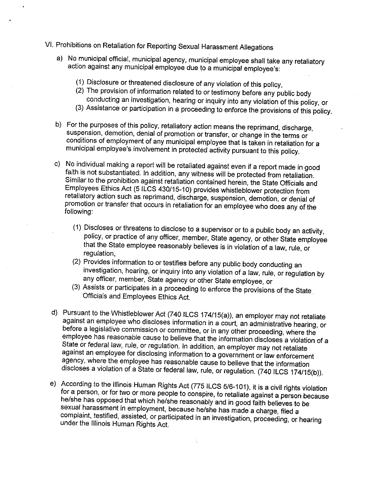- VI. Prohibitions on Retaliation for Reporting Sexual Harassment Allegations
	- a) No municipal official, municipal agency, municipal employee shall take any retaliatory action against any municipal employee due to a municipal employee's:
		- 1) Disclosure or threatened disclosure of any violation of this policy,
		- 2) The provision of information related to or testimony before any public body conducting an investigation, hearing or inquiry into any violation of this policy, or
		- 3) Assistance or participation in a proceeding to enforce the provisions of this policy.
	- b) For the purposes of this policy, retaliatory action means the reprimand, discharge, suspension, demotion, denial of promotion or transfer, or change in the terms or conditions of employment of any municipal employee that is taken in retaliation for a municipal employee's involvement in protected activity pursuant to this policy.
	- c) No individual making a report will be retaliated against even if a report made in good faith is not substantiated. In addition, any witness will be protected from retaliation. Similar to the prohibition against retaliation contained herein, the State Officials and Employees Ethics Act (5 ILCS 430/15-10) provides whistleblower protection from retaliatory action such as reprimand, discharge, suspension, demotion, or denial of promotion or transfer that occurs in retaliation for an employee who does any of the following:
		- $\sim$   $\sim$   $\sim$   $\sim$  there are threatens to disclose to a supervisor or to a public body an activity, policy, or practice of any officer, member, State agency, or other State employee that the State employee reasonably believes is in violation of a law, rule, or regulation,
		- 2) Provides information to or testifies before any public body conducting an investigation, hearing, or inquiry into any violation of a law, rule, or regulation by any officer, member, State agency or other State employee, or
		- 3) Assists or participates in a proceeding to enforce the provisions of the State Officials and Employees Ethics Act.
	- d) Pursuant to the Whistleblower Act (740 ILCS 174/15(a)), an employer may not retaliate against an employee who discloses information in a court, an administrative hearing, or against an employee who discloses information in a court, an administrative hearing, or before a legislative commission or committee, or in any other proceeding, where the employee has reasonable cause to believe that the information discloses a violation of a State or federal law, rule, or regulation. In addition, an employer may not retaliate against an employee for disclosing information to a government or law enforcement agency, where the employee has reasonable cause to believe that the information discloses a violation of a State or federal law, rule, or regulation. (740 ILCS 174/15(b)).
	- e) According to the Illinois Human Rights Act (775 ILCS 5/6- 101), it is a civil rights violation for a person, or for two or more people to conspire, to retaliate against a person because he/she has opposed that which he/she reasonably and in good faith believes to be sexual harassment in employment, because he/she has made a charge, filed a complaint, testified, assisted, or participated in an investigation, proceeding, or hearing<br>under the Illinois Human Rights Act.